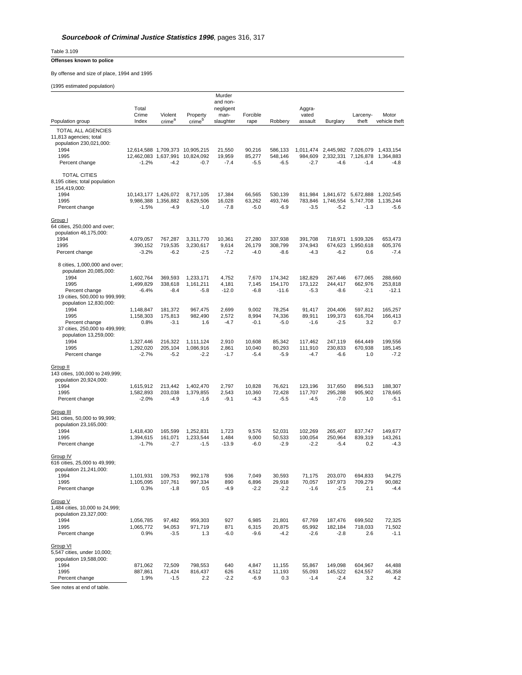Table 3.109

## **Offenses known to police**

By offense and size of place, 1994 and 1995

(1995 estimated population)

| Murder                                                                                                         |                                   |                              |                                  |                          |                            |                            |                              |                               |                           |                              |
|----------------------------------------------------------------------------------------------------------------|-----------------------------------|------------------------------|----------------------------------|--------------------------|----------------------------|----------------------------|------------------------------|-------------------------------|---------------------------|------------------------------|
|                                                                                                                | Total                             |                              |                                  | and non-<br>negligent    |                            |                            | Aggra-                       |                               |                           |                              |
|                                                                                                                | Crime                             | Violent                      | Property                         | man-                     | Forcible                   |                            | vated                        |                               | Larceny-                  | Motor                        |
| Population group                                                                                               | Index                             | crime <sup>a</sup>           | crime <sup>b</sup>               | slaughter                | rape                       | Robbery                    | assault                      | Burglary                      | theft                     | vehicle theft                |
| TOTAL ALL AGENCIES                                                                                             |                                   |                              |                                  |                          |                            |                            |                              |                               |                           |                              |
| 11,813 agencies; total<br>population 230,021,000:                                                              |                                   |                              |                                  |                          |                            |                            |                              |                               |                           |                              |
| 1994                                                                                                           |                                   |                              | 12,614,588 1,709,373 10,905,215  | 21,550                   | 90,216                     | 586,133                    |                              | 1,011,474 2,445,982 7,026,079 |                           | 1,433,154                    |
| 1995                                                                                                           | 12,462,083 1,637,991              |                              | 10,824,092                       | 19,959                   | 85,277                     | 548,146                    | 984,609                      | 2,332,331 7,126,878           |                           | 1,364,883                    |
| Percent change                                                                                                 | $-1.2%$                           | $-4.2$                       | $-0.7$                           | $-7.4$                   | $-5.5$                     | $-6.5$                     | $-2.7$                       | $-4.6$                        | $-1.4$                    | $-4.8$                       |
| <b>TOTAL CITIES</b><br>8,195 cities; total population<br>154,419,000:                                          |                                   |                              |                                  |                          |                            |                            |                              |                               |                           |                              |
| 1994                                                                                                           | 10,143,177 1,426,072              |                              | 8,717,105                        | 17,384                   | 66.565                     | 530,139                    | 811,984                      | 1,841,672 5,672,888           |                           | 1.202.545                    |
| 1995                                                                                                           |                                   | 9,986,388 1,356,882          | 8.629.506                        | 16,028                   | 63,262                     | 493,746                    | 783.846                      | 1,746,554                     | 5,747,708                 | 1.135.244                    |
| Percent change                                                                                                 | $-1.5%$                           | $-4.9$                       | $-1.0$                           | -7.8                     | $-5.0$                     | $-6.9$                     | $-3.5$                       | $-5.2$                        | $-1.3$                    | $-5.6$                       |
| Group I<br>64 cities, 250,000 and over;<br>population 46,175,000:<br>1994                                      | 4,079,057                         | 767,287                      | 3,311,770                        | 10.361                   | 27,280                     | 337,938                    | 391,708                      |                               | 718,971 1,939,326         | 653,473                      |
| 1995                                                                                                           | 390,152                           | 719,535                      | 3,230,617                        | 9,614                    | 26,179                     | 308,799                    | 374,943                      |                               | 674,623 1,950,618         | 605,376                      |
| Percent change                                                                                                 | $-3.2%$                           | $-6.2$                       | $-2.5$                           | $-7.2$                   | $-4.0$                     | $-8.6$                     | $-4.3$                       | $-6.2$                        | 0.6                       | $-7.4$                       |
| 8 cities, 1,000,000 and over;<br>population 20,085,000:                                                        |                                   |                              |                                  |                          |                            |                            |                              |                               |                           |                              |
| 1994<br>1995                                                                                                   | 1,602,764<br>1.499.829            | 369,593                      | 1,233,171                        | 4,752                    | 7,670<br>7.145             | 174,342                    | 182,829                      | 267,446<br>244.417            | 677,065<br>662,976        | 288,660<br>253,818           |
| Percent change                                                                                                 | $-6.4%$                           | 338,618<br>$-8.4$            | 1,161,211<br>$-5.8$              | 4,181<br>$-12.0$         | $-6.8$                     | 154,170<br>$-11.6$         | 173,122<br>$-5.3$            | $-8.6$                        | $-2.1$                    | $-12.1$                      |
| 19 cities, 500,000 to 999,999;<br>population 12,830,000:                                                       |                                   |                              |                                  |                          |                            |                            |                              |                               |                           |                              |
| 1994<br>1995                                                                                                   | 1,148,847<br>1,158,303            | 181,372<br>175,813           | 967,475<br>982.490               | 2,699<br>2,572           | 9,002<br>8,994             | 78,254<br>74,336           | 91,417<br>89,911             | 204,406<br>199.373            | 597,812<br>616,704        | 165,257<br>166,413           |
| Percent change                                                                                                 | 0.8%                              | $-3.1$                       | 1.6                              | $-4.7$                   | $-0.1$                     | $-5.0$                     | -1.6                         | $-2.5$                        | 3.2                       | 0.7                          |
| 37 cities, 250,000 to 499,999;<br>population 13,259,000:                                                       |                                   |                              |                                  |                          |                            |                            |                              |                               |                           |                              |
| 1994<br>1995                                                                                                   | 1,327,446<br>1,292,020            | 216,322<br>205,104           | 1,111,124<br>1,086,916           | 2,910<br>2,861           | 10.608<br>10,040           | 85.342<br>80,293           | 117,462<br>111,910           | 247,119<br>230,833            | 664,449<br>670,938        | 199,556<br>185,145           |
| Percent change                                                                                                 | $-2.7%$                           | $-5.2$                       | $-2.2$                           | $-1.7$                   | $-5.4$                     | $-5.9$                     | $-4.7$                       | $-6.6$                        | 1.0                       | $-7.2$                       |
| <b>Group II</b><br>143 cities, 100,000 to 249,999;<br>population 20,924,000:<br>1994<br>1995<br>Percent change | 1,615,912<br>1,582,893<br>$-2.0%$ | 213,442<br>203,038<br>$-4.9$ | 1,402,470<br>1,379,855<br>$-1.6$ | 2,797<br>2,543<br>$-9.1$ | 10,828<br>10,360<br>$-4.3$ | 76,621<br>72,428<br>$-5.5$ | 123,196<br>117,707<br>$-4.5$ | 317,650<br>295,288<br>$-7.0$  | 896,513<br>905,902<br>1.0 | 188,307<br>178,665<br>$-5.1$ |
| Group III<br>341 cities, 50,000 to 99,999;<br>population 23,165,000:<br>1994                                   | 1,418,430                         | 165.599                      | 1,252,831                        | 1,723                    | 9,576                      | 52,031                     | 102,269                      | 265,407                       | 837,747                   | 149,677                      |
| 1995                                                                                                           | 1,394,615                         | 161.071                      | 1,233,544                        | 1,484                    | 9,000                      | 50,533                     | 100,054                      | 250,964                       | 839,319                   | 143.261                      |
| Percent change                                                                                                 | $-1.7%$                           | $-2.7$                       | $-1.5$                           | $-13.9$                  | $-6.0$                     | $-2.9$                     | $-2.2$                       | $-5.4$                        | 0.2                       | $-4.3$                       |
| Group IV<br>616 cities, 25,000 to 49,999;<br>population 21,241,000:<br>1994<br>1995<br>Percent change          | 1,101,931<br>1,105,095<br>0.3%    | 109,753<br>107,761<br>$-1.8$ | 992,178<br>997,334<br>0.5        | 936<br>890<br>$-4.9$     | 7,049<br>6,896<br>$-2.2$   | 30,593<br>29,918<br>$-2.2$ | 71,175<br>70,057<br>$-1.6$   | 203,070<br>197,973<br>$-2.5$  | 694,833<br>709,279<br>2.1 | 94,275<br>90,082<br>$-4.4$   |
|                                                                                                                |                                   |                              |                                  |                          |                            |                            |                              |                               |                           |                              |
| Group V<br>1,484 cities, 10,000 to 24,999;<br>population 23,327,000:<br>1994<br>1995                           | 1,056,785<br>1,065,772            | 97,482<br>94,053             | 959,303<br>971,719               | 927<br>871               | 6,985<br>6,315             | 21,801<br>20,875           | 67,769<br>65,992             | 187,476<br>182,184            | 699,502<br>718,033        | 72,325<br>71,502             |
| Percent change                                                                                                 | 0.9%                              | $-3.5$                       | 1.3                              | -6.0                     | $-9.6$                     | $-4.2$                     | $-2.6$                       | $-2.8$                        | 2.6                       | $-1.1$                       |
| Group VI<br>5,547 cities, under 10,000;<br>population 19,588,000:<br>1994                                      | 871,062                           | 72,509                       | 798,553                          | 640                      | 4,847                      | 11,155                     | 55,867                       | 149,098                       | 604,967                   | 44,488                       |
| 1995                                                                                                           | 887,861                           | 71,424                       | 816,437                          | 626                      | 4,512                      | 11,193                     | 55,093                       | 145,522                       | 624,557                   | 46,358                       |
| Percent change                                                                                                 | 1.9%                              | $-1.5$                       | 2.2                              | -2.2                     | $-6.9$                     | 0.3                        | -1.4                         | -2.4                          | 3.2                       | 4.2                          |

See notes at end of table.